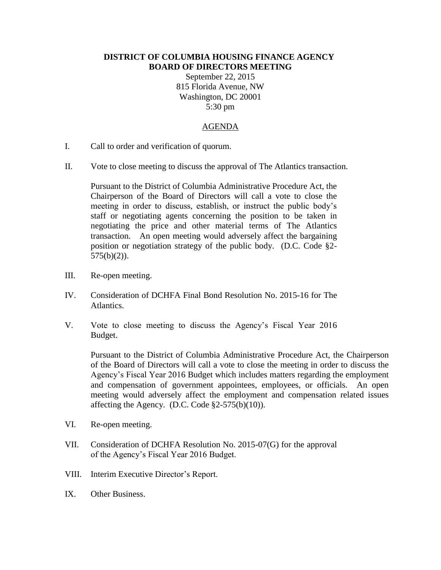## **DISTRICT OF COLUMBIA HOUSING FINANCE AGENCY BOARD OF DIRECTORS MEETING**

September 22, 2015 815 Florida Avenue, NW Washington, DC 20001 5:30 pm

## AGENDA

- I. Call to order and verification of quorum.
- II. Vote to close meeting to discuss the approval of The Atlantics transaction.

Pursuant to the District of Columbia Administrative Procedure Act, the Chairperson of the Board of Directors will call a vote to close the meeting in order to discuss, establish, or instruct the public body's staff or negotiating agents concerning the position to be taken in negotiating the price and other material terms of The Atlantics transaction. An open meeting would adversely affect the bargaining position or negotiation strategy of the public body. (D.C. Code §2-  $575(b)(2)$ ).

- III. Re-open meeting.
- IV. Consideration of DCHFA Final Bond Resolution No. 2015-16 for The Atlantics.
- V. Vote to close meeting to discuss the Agency's Fiscal Year 2016 Budget.

Pursuant to the District of Columbia Administrative Procedure Act, the Chairperson of the Board of Directors will call a vote to close the meeting in order to discuss the Agency's Fiscal Year 2016 Budget which includes matters regarding the employment and compensation of government appointees, employees, or officials. An open meeting would adversely affect the employment and compensation related issues affecting the Agency. (D.C. Code  $\S2-575(b)(10)$ ).

- VI. Re-open meeting.
- VII. Consideration of DCHFA Resolution No. 2015-07(G) for the approval of the Agency's Fiscal Year 2016 Budget.
- VIII. Interim Executive Director's Report.
- IX. Other Business.